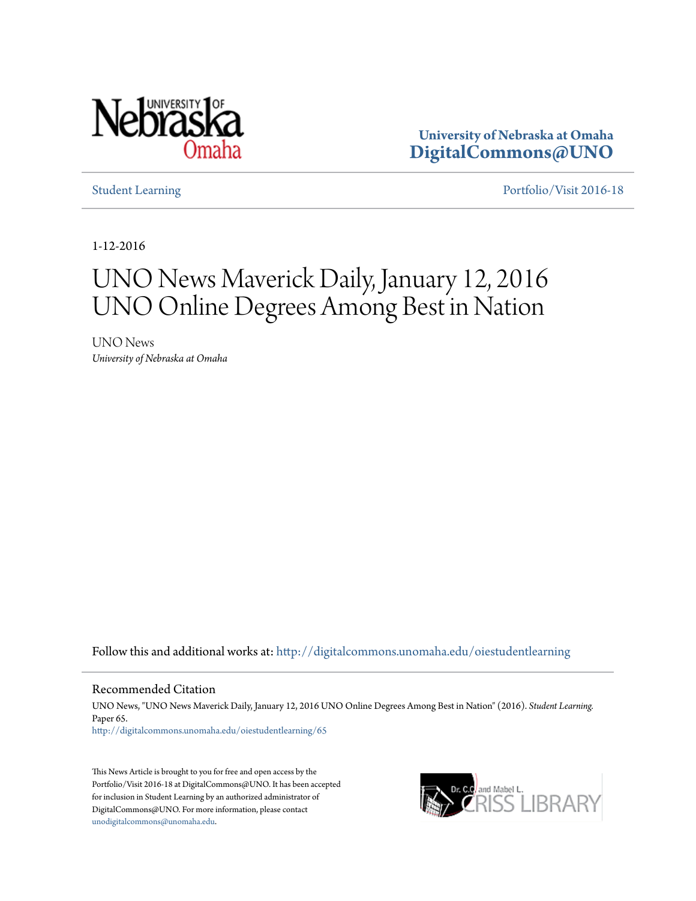

**University of Nebraska at Omaha [DigitalCommons@UNO](http://digitalcommons.unomaha.edu?utm_source=digitalcommons.unomaha.edu%2Foiestudentlearning%2F65&utm_medium=PDF&utm_campaign=PDFCoverPages)**

[Student Learning](http://digitalcommons.unomaha.edu/oiestudentlearning?utm_source=digitalcommons.unomaha.edu%2Foiestudentlearning%2F65&utm_medium=PDF&utm_campaign=PDFCoverPages) **[Portfolio/Visit 2016-18](http://digitalcommons.unomaha.edu/oieportfolio?utm_source=digitalcommons.unomaha.edu%2Foiestudentlearning%2F65&utm_medium=PDF&utm_campaign=PDFCoverPages)** 

1-12-2016

# UNO News Maverick Daily, January 12, 2016 UNO Online Degrees Among Best in Nation

UNO News *University of Nebraska at Omaha*

Follow this and additional works at: [http://digitalcommons.unomaha.edu/oiestudentlearning](http://digitalcommons.unomaha.edu/oiestudentlearning?utm_source=digitalcommons.unomaha.edu%2Foiestudentlearning%2F65&utm_medium=PDF&utm_campaign=PDFCoverPages)

## Recommended Citation

UNO News, "UNO News Maverick Daily, January 12, 2016 UNO Online Degrees Among Best in Nation" (2016). *Student Learning.* Paper 65. [http://digitalcommons.unomaha.edu/oiestudentlearning/65](http://digitalcommons.unomaha.edu/oiestudentlearning/65?utm_source=digitalcommons.unomaha.edu%2Foiestudentlearning%2F65&utm_medium=PDF&utm_campaign=PDFCoverPages)

This News Article is brought to you for free and open access by the Portfolio/Visit 2016-18 at DigitalCommons@UNO. It has been accepted for inclusion in Student Learning by an authorized administrator of DigitalCommons@UNO. For more information, please contact [unodigitalcommons@unomaha.edu](mailto:unodigitalcommons@unomaha.edu).

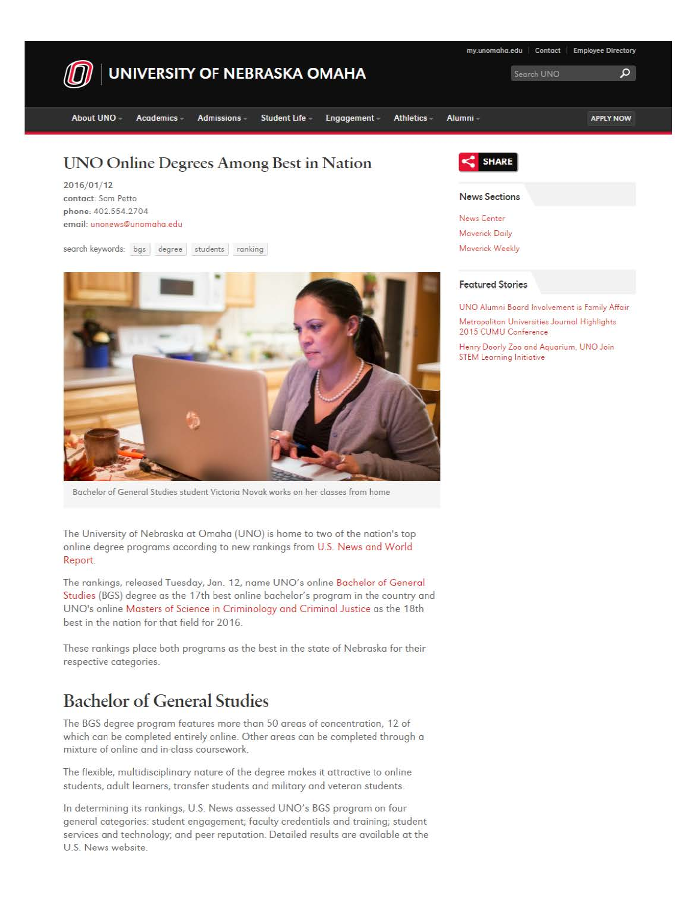

contact: Som Petto phone: 402.554.2704 email: unonews@unomoho.edu

search keywords: bgs degree students ranking



Bachelor of General Studies student Victoria Novak works on her classes from home

The University of Nebraska at Omaha (UNO) is home to two of the nation's top online degree programs according to new rankings from U.S. News a nd World Report.

The rankings, released Tuesday, Jan. 12, name UNO's online Bachelor of General Studies (BGS) degree as the 17th best online bachelor's program in the country and UNO's online Masters of Science in Criminology and Criminal Justice as the 18th best in the nation for that field for 2016.

These rankings place both programs as the best in the state of Nebraska for their respective categories.

# Bachelor of General Studies

The BGS degree program features more than 50 areas of concentration, 12 of which can be completed entirely online. Other areas can be completed through a mixture of online and in-doss coursework

The flexible, multidisciplinary nature of the degree makes it attractive to online students, adult learners, transfer students and military and veteran students.

In determining its rankings, U.S. News assessed UNO's BGS program on four general categories: student engagement; faculty credentials and training; student services and technology; and peer reputation. Detailed results are available at the U.S. News website.



News Center Maverick Daily

### **Featured Stories**

UNO Alumni Board Involvement is Family Affair Metropolitan Universities Journal Highl'ghts 2015 CUMU Conference

Henry Doorly Zoo and Aquarium. UNO Join STEM Learning Initiative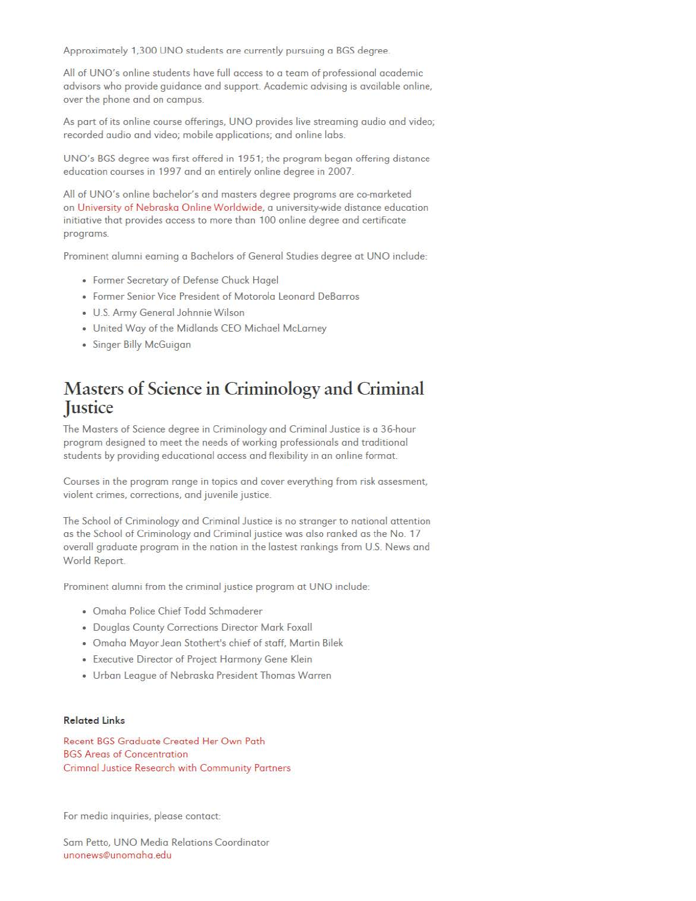Approximately 1,300 UNO students are currently pursuing a BGS degree.

All of UNO's online students have full access to a team of professional academic advisors who provide guidance and support. Academic advising is available online, over the phone and on campus.

As part of its online course offerings, UNO provides live streaming audio and video; recorded audio and video; mobile applications; and online labs.

UNO's BGS degree was first offered in 1951; the program began offering distance education courses in 1997 and an entirely online degree in 2007.

All of UNO's online bachelor's and masters degree programs are co-marketed on University of Nebraska Online Worldwide, a university-wide distance education initiative that provides access to more than 100 online degree and certificate programs.

Prominent alumni earning a Bachelors of General Studies degree at UNO include:

- Former Secretary of Defense Chuck Hagel
- Former Senior Vice President of Motorola Leonard DeBarros
- U.S Army General Johnnie Wilson
- United Woy of the Midlands CEO Michael Mclarney
- Singer Billy McGuigon

# **Masters of Science in Criminology and Criminal Justice**

The Masters of Science degree in Criminology and Criminal Justice is a 36-hour program designed to meet the needs of working professionals and traditional students by providing educational access and flexibility in on online format.

Courses in the program range in topics and cover everything from risk ossesment, violent crimes, corrections, and juvenile justice.

The School of Criminology and Criminal Justice is no stronger to notional attention as the School of Criminology and Criminal justice was also ranked as the No. 17 overall graduate program in the notion in the lostest rankings from U.S. News and World Report.

Prominent alumni from the criminal justice program at UNO include:

- Omaha Police Chief Todd Schmoderer
- Douglas County Corrections Director **Mork** Foxoll
- Omaha Mayor Jeon Stothert's chief of staff, Martin Bilek
- Executive Director of Project Harmony Gene Klein
- Urban League of Nebraska President Thomas Warren

### **Related Links**

Recent BGS Graduate Created Her Own Poth **BGS** Areas of Concentration Crimnal Justice Research with Community Partners

For media inquiries, please contact:

Som Petto, UNO Media Relations Coordinator unonews@unomoho.edu